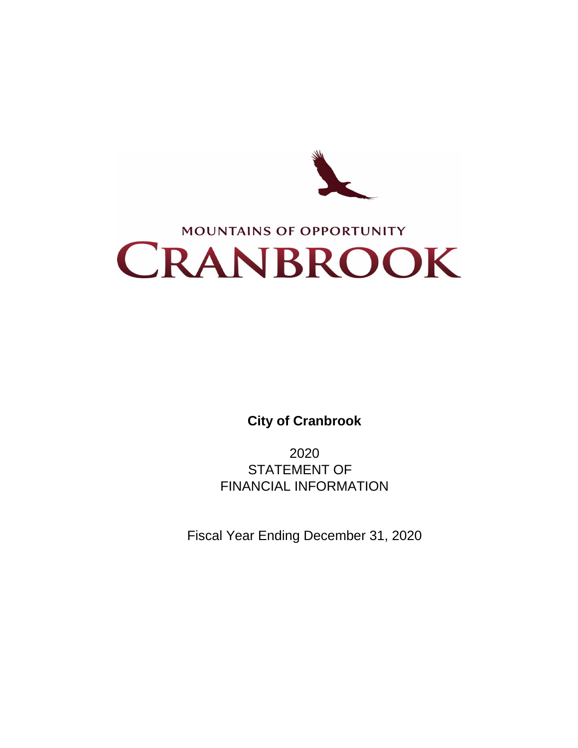

**City of Cranbrook**

2020 STATEMENT OF FINANCIAL INFORMATION

Fiscal Year Ending December 31, 2020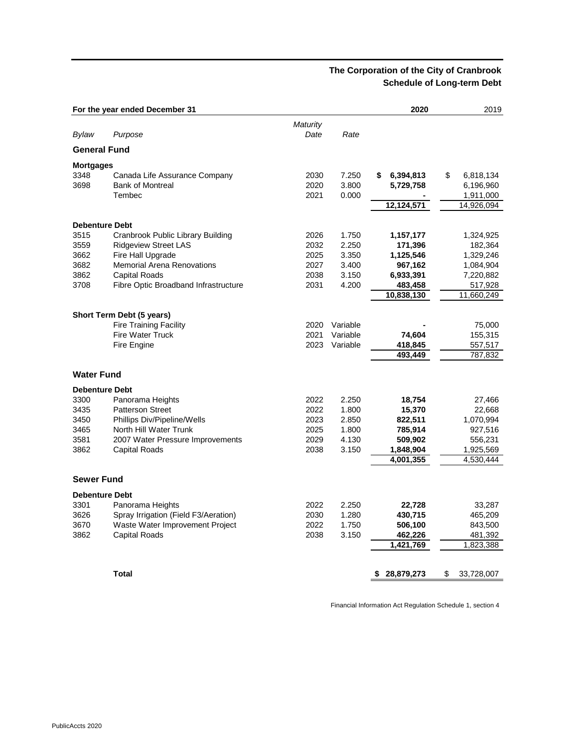# **The Corporation of the City of Cranbrook Schedule of Long-term Debt**

|                       | For the year ended December 31                             |                 |          | 2020             | 2019             |
|-----------------------|------------------------------------------------------------|-----------------|----------|------------------|------------------|
|                       |                                                            | <b>Maturity</b> |          |                  |                  |
| Bylaw                 | Purpose                                                    | Date            | Rate     |                  |                  |
| <b>General Fund</b>   |                                                            |                 |          |                  |                  |
| <b>Mortgages</b>      |                                                            |                 |          |                  |                  |
| 3348                  | Canada Life Assurance Company                              | 2030            | 7.250    | 6,394,813<br>\$  | \$<br>6,818,134  |
| 3698                  | <b>Bank of Montreal</b>                                    | 2020            | 3.800    | 5,729,758        | 6,196,960        |
|                       | Tembec                                                     | 2021            | 0.000    |                  | 1,911,000        |
|                       |                                                            |                 |          | 12,124,571       | 14,926,094       |
|                       |                                                            |                 |          |                  |                  |
| <b>Debenture Debt</b> |                                                            |                 |          |                  |                  |
| 3515                  | Cranbrook Public Library Building                          | 2026            | 1.750    | 1,157,177        | 1,324,925        |
| 3559                  | <b>Ridgeview Street LAS</b>                                | 2032            | 2.250    | 171,396          | 182,364          |
| 3662                  | Fire Hall Upgrade                                          | 2025            | 3.350    | 1,125,546        | 1,329,246        |
| 3682                  | <b>Memorial Arena Renovations</b>                          | 2027            | 3.400    | 967,162          | 1,084,904        |
| 3862                  | <b>Capital Roads</b>                                       | 2038            | 3.150    | 6,933,391        | 7,220,882        |
| 3708                  | Fibre Optic Broadband Infrastructure                       | 2031            | 4.200    | 483,458          | 517,928          |
|                       |                                                            |                 |          | 10,838,130       | 11,660,249       |
|                       |                                                            |                 |          |                  |                  |
|                       | Short Term Debt (5 years)<br><b>Fire Training Facility</b> | 2020            | Variable |                  |                  |
|                       |                                                            |                 |          |                  | 75,000           |
|                       | <b>Fire Water Truck</b>                                    | 2021            | Variable | 74,604           | 155,315          |
|                       | Fire Engine                                                | 2023            | Variable | 418,845          | 557,517          |
|                       |                                                            |                 |          | 493,449          | 787,832          |
| <b>Water Fund</b>     |                                                            |                 |          |                  |                  |
| <b>Debenture Debt</b> |                                                            |                 |          |                  |                  |
| 3300                  | Panorama Heights                                           | 2022            | 2.250    | 18,754           | 27,466           |
| 3435                  | <b>Patterson Street</b>                                    | 2022            | 1.800    | 15,370           | 22,668           |
| 3450                  | Phillips Div/Pipeline/Wells                                | 2023            | 2.850    | 822,511          | 1,070,994        |
| 3465                  | North Hill Water Trunk                                     | 2025            | 1.800    | 785,914          | 927,516          |
| 3581                  | 2007 Water Pressure Improvements                           | 2029            | 4.130    | 509,902          | 556,231          |
| 3862                  | Capital Roads                                              | 2038            | 3.150    | 1,848,904        | 1,925,569        |
|                       |                                                            |                 |          | 4,001,355        | 4,530,444        |
|                       |                                                            |                 |          |                  |                  |
| <b>Sewer Fund</b>     |                                                            |                 |          |                  |                  |
| <b>Debenture Debt</b> |                                                            |                 |          |                  |                  |
| 3301                  | Panorama Heights                                           | 2022            | 2.250    | 22,728           | 33,287           |
| 3626                  | Spray Irrigation (Field F3/Aeration)                       | 2030            | 1.280    | 430,715          | 465,209          |
| 3670                  | Waste Water Improvement Project                            | 2022            | 1.750    | 506,100          | 843,500          |
| 3862                  | <b>Capital Roads</b>                                       | 2038            | 3.150    | 462,226          | 481,392          |
|                       |                                                            |                 |          | 1,421,769        | 1,823,388        |
|                       |                                                            |                 |          |                  |                  |
|                       | <b>Total</b>                                               |                 |          | \$<br>28,879,273 | \$<br>33,728,007 |

Financial Information Act Regulation Schedule 1, section 4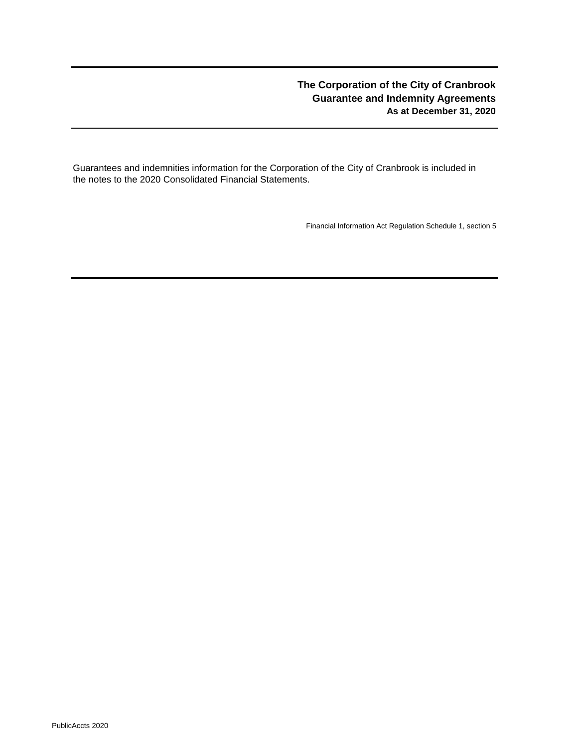# **The Corporation of the City of Cranbrook Guarantee and Indemnity Agreements As at December 31, 2020**

Guarantees and indemnities information for the Corporation of the City of Cranbrook is included in the notes to the 2020 Consolidated Financial Statements.

Financial Information Act Regulation Schedule 1, section 5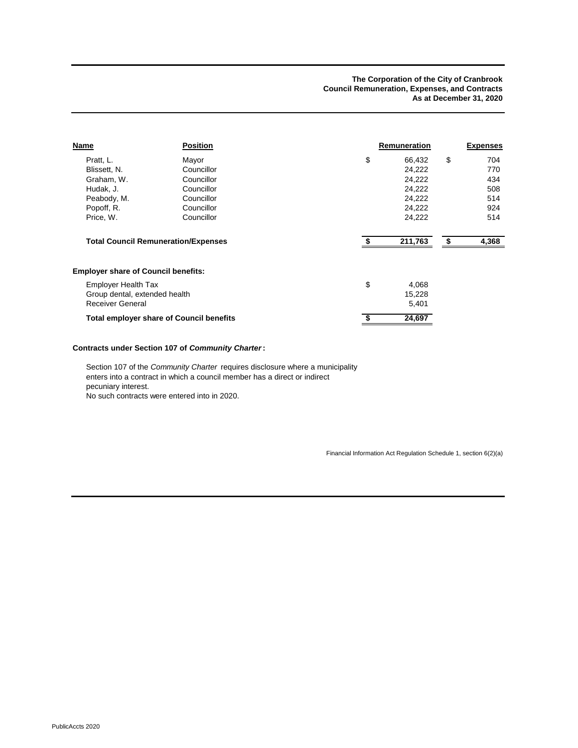| Name                                            | <b>Position</b> | Remuneration |    | <b>Expenses</b> |
|-------------------------------------------------|-----------------|--------------|----|-----------------|
| Pratt, L.                                       | Mayor           | \$<br>66,432 | \$ | 704             |
| Blissett, N.                                    | Councillor      | 24,222       |    | 770             |
| Graham, W.                                      | Councillor      | 24,222       |    | 434             |
| Hudak, J.                                       | Councillor      | 24,222       |    | 508             |
| Peabody, M.                                     | Councillor      | 24,222       |    | 514             |
| Popoff, R.                                      | Councillor      | 24,222       |    | 924             |
| Price, W.                                       | Councillor      | 24,222       |    | 514             |
| <b>Total Council Remuneration/Expenses</b>      |                 | 211,763      | S  | 4,368           |
| <b>Employer share of Council benefits:</b>      |                 |              |    |                 |
| <b>Employer Health Tax</b>                      |                 | \$<br>4,068  |    |                 |
| Group dental, extended health                   |                 | 15,228       |    |                 |
| <b>Receiver General</b>                         |                 | 5,401        |    |                 |
| <b>Total employer share of Council benefits</b> |                 | 24,697       |    |                 |

### **Contracts under Section 107 of** *Community Charter***:**

Section 107 of the *Community Charter* requires disclosure where a municipality enters into a contract in which a council member has a direct or indirect pecuniary interest.

No such contracts were entered into in 2020.

Financial Information Act Regulation Schedule 1, section 6(2)(a)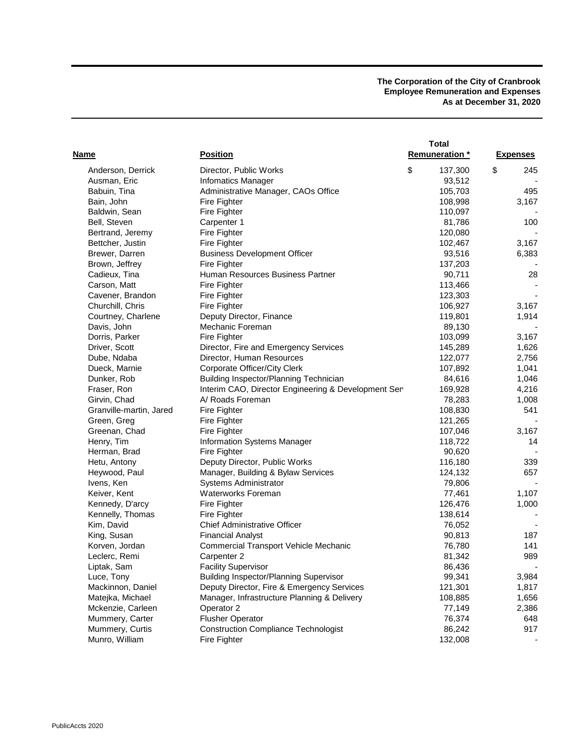**The Corporation of the City of Cranbrook Employee Remuneration and Expenses As at December 31, 2020**

| Name                    | <b>Position</b>                                     | <b>Total</b><br><b>Remuneration</b> * | <b>Expenses</b> |
|-------------------------|-----------------------------------------------------|---------------------------------------|-----------------|
| Anderson, Derrick       | Director, Public Works                              | \$<br>137,300                         | \$<br>245       |
| Ausman, Eric            | <b>Infomatics Manager</b>                           | 93,512                                |                 |
| Babuin, Tina            | Administrative Manager, CAOs Office                 | 105,703                               | 495             |
| Bain, John              | Fire Fighter                                        | 108,998                               | 3,167           |
| Baldwin, Sean           | Fire Fighter                                        | 110,097                               |                 |
| Bell, Steven            | Carpenter 1                                         | 81,786                                | 100             |
| Bertrand, Jeremy        | Fire Fighter                                        | 120,080                               |                 |
| Bettcher, Justin        | Fire Fighter                                        | 102,467                               | 3,167           |
| Brewer, Darren          | <b>Business Development Officer</b>                 | 93,516                                | 6,383           |
| Brown, Jeffrey          | Fire Fighter                                        | 137,203                               |                 |
| Cadieux, Tina           | Human Resources Business Partner                    | 90,711                                | 28              |
| Carson, Matt            | Fire Fighter                                        | 113,466                               |                 |
| Cavener, Brandon        | Fire Fighter                                        | 123,303                               |                 |
| Churchill, Chris        | Fire Fighter                                        | 106,927                               | 3,167           |
| Courtney, Charlene      | Deputy Director, Finance                            | 119,801                               | 1,914           |
| Davis, John             | Mechanic Foreman                                    | 89,130                                |                 |
| Dorris, Parker          | Fire Fighter                                        | 103,099                               | 3,167           |
| Driver, Scott           | Director, Fire and Emergency Services               | 145,289                               | 1,626           |
| Dube, Ndaba             | Director, Human Resources                           | 122,077                               | 2,756           |
| Dueck, Marnie           | Corporate Officer/City Clerk                        | 107,892                               | 1,041           |
| Dunker, Rob             | <b>Building Inspector/Planning Technician</b>       | 84,616                                | 1,046           |
| Fraser, Ron             | Interim CAO, Director Engineering & Development Ser | 169,928                               | 4,216           |
| Girvin, Chad            | A/ Roads Foreman                                    | 78,283                                | 1,008           |
| Granville-martin, Jared | Fire Fighter                                        | 108,830                               | 541             |
| Green, Greg             | Fire Fighter                                        | 121,265                               |                 |
| Greenan, Chad           | Fire Fighter                                        | 107,046                               | 3,167           |
| Henry, Tim              | Information Systems Manager                         | 118,722                               | 14              |
| Herman, Brad            | Fire Fighter                                        | 90,620                                |                 |
| Hetu, Antony            | Deputy Director, Public Works                       | 116,180                               | 339             |
| Heywood, Paul           | Manager, Building & Bylaw Services                  | 124,132                               | 657             |
| Ivens, Ken              | Systems Administrator                               | 79,806                                |                 |
| Keiver, Kent            | Waterworks Foreman                                  | 77,461                                | 1,107           |
| Kennedy, D'arcy         | Fire Fighter                                        | 126,476                               | 1,000           |
| Kennelly, Thomas        | Fire Fighter                                        | 138,614                               |                 |
| Kim, David              | <b>Chief Administrative Officer</b>                 | 76,052                                |                 |
| King, Susan             | <b>Financial Analyst</b>                            | 90,813                                | 187             |
| Korven, Jordan          | <b>Commercial Transport Vehicle Mechanic</b>        | 76,780                                | 141             |
| Leclerc, Remi           | Carpenter 2                                         | 81,342                                | 989             |
| Liptak, Sam             | <b>Facility Supervisor</b>                          | 86,436                                |                 |
| Luce, Tony              | <b>Building Inspector/Planning Supervisor</b>       | 99,341                                | 3,984           |
| Mackinnon, Daniel       | Deputy Director, Fire & Emergency Services          | 121,301                               | 1,817           |
| Matejka, Michael        | Manager, Infrastructure Planning & Delivery         | 108,885                               | 1,656           |
| Mckenzie, Carleen       | Operator 2                                          | 77,149                                | 2,386           |
| Mummery, Carter         | <b>Flusher Operator</b>                             | 76,374                                | 648             |
| Mummery, Curtis         | <b>Construction Compliance Technologist</b>         | 86,242                                | 917             |
| Munro, William          | Fire Fighter                                        | 132,008                               |                 |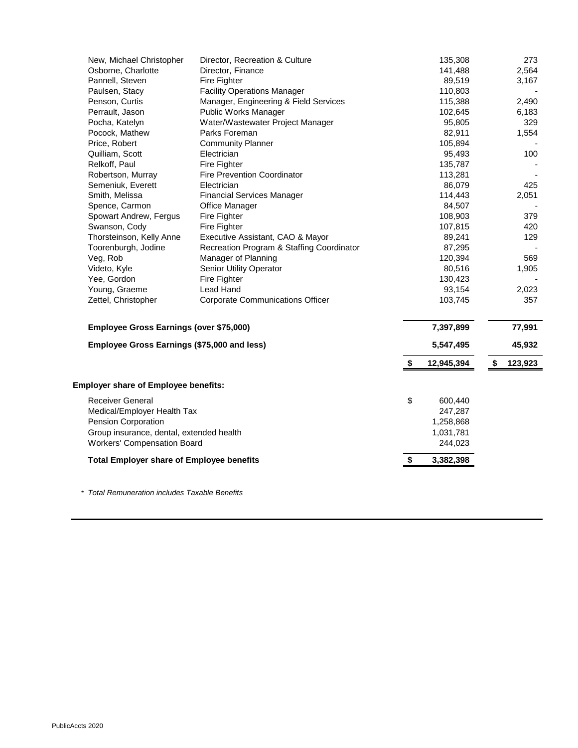| New, Michael Christopher                         | Director, Recreation & Culture            |                           | 135,308    | 273           |
|--------------------------------------------------|-------------------------------------------|---------------------------|------------|---------------|
| Osborne, Charlotte                               | Director, Finance                         |                           | 141,488    | 2,564         |
| Pannell, Steven                                  | Fire Fighter                              |                           | 89,519     | 3,167         |
| Paulsen, Stacy                                   | <b>Facility Operations Manager</b>        |                           | 110,803    |               |
| Penson, Curtis                                   | Manager, Engineering & Field Services     |                           | 115,388    | 2,490         |
| Perrault, Jason                                  | Public Works Manager                      |                           | 102,645    | 6,183         |
| Pocha, Katelyn                                   | Water/Wastewater Project Manager          |                           | 95,805     | 329           |
| Pocock, Mathew                                   | Parks Foreman                             |                           | 82,911     | 1,554         |
| Price, Robert                                    | <b>Community Planner</b>                  |                           | 105,894    |               |
| Quilliam, Scott                                  | Electrician                               |                           | 95,493     | 100           |
| Relkoff, Paul                                    | Fire Fighter                              |                           | 135,787    |               |
| Robertson, Murray                                | <b>Fire Prevention Coordinator</b>        |                           | 113,281    |               |
| Semeniuk, Everett                                | Electrician                               |                           | 86,079     | 425           |
| Smith, Melissa                                   | <b>Financial Services Manager</b>         |                           | 114,443    | 2,051         |
| Spence, Carmon                                   | Office Manager                            |                           | 84,507     |               |
| Spowart Andrew, Fergus                           | Fire Fighter                              |                           | 108,903    | 379           |
| Swanson, Cody                                    | Fire Fighter                              |                           | 107,815    | 420           |
| Thorsteinson, Kelly Anne                         | Executive Assistant, CAO & Mayor          |                           | 89,241     | 129           |
| Toorenburgh, Jodine                              | Recreation Program & Staffing Coordinator |                           | 87,295     |               |
| Veg, Rob                                         | Manager of Planning                       |                           | 120,394    | 569           |
| Videto, Kyle                                     | <b>Senior Utility Operator</b>            |                           | 80,516     | 1,905         |
| Yee, Gordon                                      | Fire Fighter                              |                           | 130,423    |               |
| Young, Graeme                                    | Lead Hand                                 |                           | 93,154     | 2,023         |
| Zettel, Christopher                              | <b>Corporate Communications Officer</b>   |                           | 103,745    | 357           |
| Employee Gross Earnings (over \$75,000)          |                                           |                           | 7,397,899  | 77,991        |
| Employee Gross Earnings (\$75,000 and less)      |                                           |                           | 5,547,495  | 45,932        |
|                                                  |                                           | \$                        | 12,945,394 | \$<br>123,923 |
| <b>Employer share of Employee benefits:</b>      |                                           |                           |            |               |
| <b>Receiver General</b>                          |                                           | \$                        | 600,440    |               |
| Medical/Employer Health Tax                      |                                           |                           | 247,287    |               |
| Pension Corporation                              |                                           |                           | 1,258,868  |               |
| Group insurance, dental, extended health         |                                           |                           | 1,031,781  |               |
| <b>Workers' Compensation Board</b>               |                                           |                           | 244,023    |               |
| <b>Total Employer share of Employee benefits</b> |                                           | $\boldsymbol{\mathsf{s}}$ | 3,382,398  |               |

*\* Total Remuneration includes Taxable Benefits*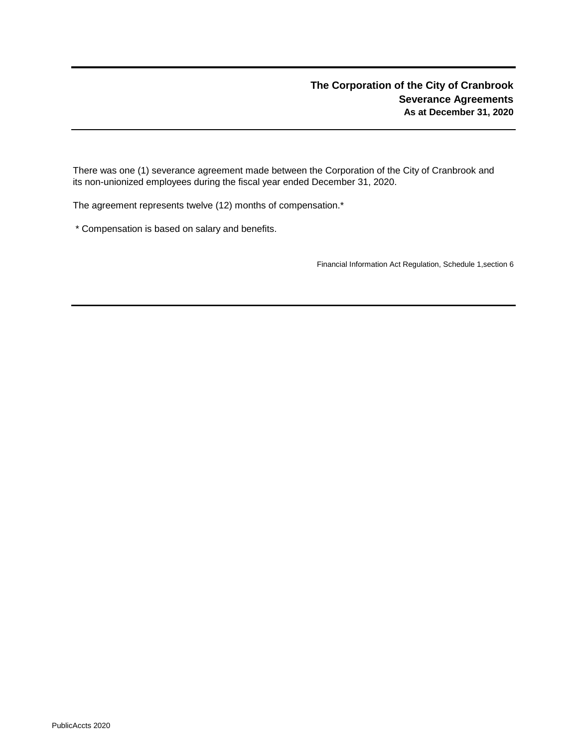There was one (1) severance agreement made between the Corporation of the City of Cranbrook and its non-unionized employees during the fiscal year ended December 31, 2020.

The agreement represents twelve (12) months of compensation.\*

\* Compensation is based on salary and benefits.

Financial Information Act Regulation, Schedule 1,section 6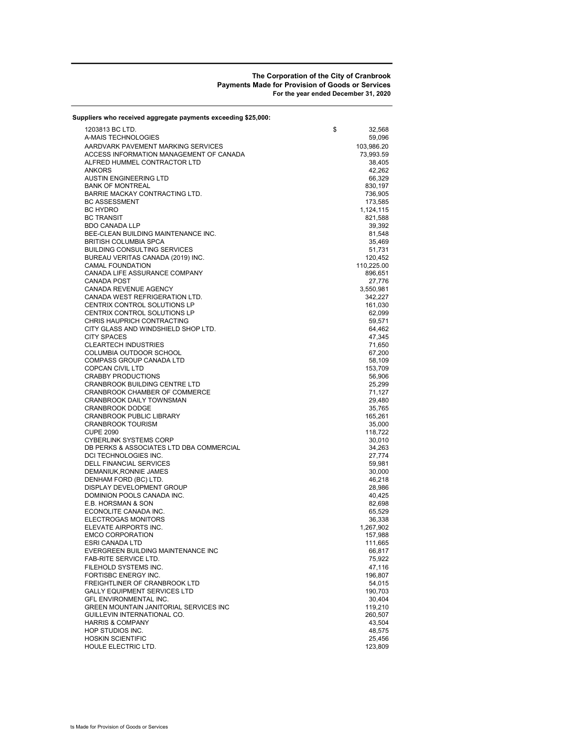#### The Corporation of the City of Cranbrook Payments Made for Provision of Goods or Services For the year ended December 31, 2020

| Suppliers who received aggregate payments exceeding \$25,000: |                    |
|---------------------------------------------------------------|--------------------|
| 1203813 BC LTD.                                               | \$<br>32,568       |
| A-MAIS TECHNOLOGIES                                           | 59,096             |
| AARDVARK PAVEMENT MARKING SERVICES                            | 103,986.20         |
| ACCESS INFORMATION MANAGEMENT OF CANADA                       | 73,993.59          |
| ALFRED HUMMEL CONTRACTOR LTD                                  | 38,405             |
| <b>ANKORS</b>                                                 | 42,262             |
| <b>AUSTIN ENGINEERING LTD</b><br><b>BANK OF MONTREAL</b>      | 66,329             |
| BARRIE MACKAY CONTRACTING LTD.                                | 830,197<br>736,905 |
| <b>BC ASSESSMENT</b>                                          | 173,585            |
| <b>BC HYDRO</b>                                               | 1,124,115          |
| <b>BC TRANSIT</b>                                             | 821,588            |
| <b>BDO CANADA LLP</b>                                         | 39,392             |
| BEE-CLEAN BUILDING MAINTENANCE INC.                           | 81,548             |
| <b>BRITISH COLUMBIA SPCA</b>                                  | 35,469             |
| <b>BUILDING CONSULTING SERVICES</b>                           | 51,731             |
| BUREAU VERITAS CANADA (2019) INC.                             | 120,452            |
| <b>CAMAL FOUNDATION</b>                                       | 110,225.00         |
| CANADA LIFE ASSURANCE COMPANY<br><b>CANADA POST</b>           | 896,651<br>27,776  |
| CANADA REVENUE AGENCY                                         | 3,550,981          |
| CANADA WEST REFRIGERATION LTD.                                | 342,227            |
| CENTRIX CONTROL SOLUTIONS LP                                  | 161,030            |
| CENTRIX CONTROL SOLUTIONS LP                                  | 62,099             |
| CHRIS HAUPRICH CONTRACTING                                    | 59,571             |
| CITY GLASS AND WINDSHIELD SHOP LTD.                           | 64,462             |
| <b>CITY SPACES</b>                                            | 47,345             |
| <b>CLEARTECH INDUSTRIES</b>                                   | 71,650             |
| COLUMBIA OUTDOOR SCHOOL                                       | 67,200             |
| COMPASS GROUP CANADA LTD<br>COPCAN CIVIL LTD                  | 58,109<br>153,709  |
| <b>CRABBY PRODUCTIONS</b>                                     | 56,906             |
| CRANBROOK BUILDING CENTRE LTD                                 | 25,299             |
| CRANBROOK CHAMBER OF COMMERCE                                 | 71,127             |
| CRANBROOK DAILY TOWNSMAN                                      | 29,480             |
| <b>CRANBROOK DODGE</b>                                        | 35,765             |
| <b>CRANBROOK PUBLIC LIBRARY</b>                               | 165,261            |
| <b>CRANBROOK TOURISM</b>                                      | 35,000             |
| <b>CUPE 2090</b>                                              | 118,722            |
| CYBERLINK SYSTEMS CORP                                        | 30,010             |
| DB PERKS & ASSOCIATES LTD DBA COMMERCIAL                      | 34,263             |
| DCI TECHNOLOGIES INC.<br>DELL FINANCIAL SERVICES              | 27,774<br>59,981   |
| DEMANIUK, RONNIE JAMES                                        | 30,000             |
| DENHAM FORD (BC) LTD.                                         | 46,218             |
| DISPLAY DEVELOPMENT GROUP                                     | 28,986             |
| DOMINION POOLS CANADA INC.                                    | 40,425             |
| E.B. HORSMAN & SON                                            | 82,698             |
| ECONOLITE CANADA INC.                                         | 65,529             |
| ELECTROGAS MONITORS                                           | 36,338             |
| ELEVATE AIRPORTS INC.                                         | 1,267,902          |
| <b>EMCO CORPORATION</b>                                       | 157,988            |
| ESRI CANADA LTD<br>EVERGREEN BUILDING MAINTENANCE INC         | 111,665<br>66,817  |
| FAB-RITE SERVICE LTD.                                         | 75,922             |
| FILEHOLD SYSTEMS INC.                                         | 47,116             |
| FORTISBC ENERGY INC.                                          | 196,807            |
| FREIGHTLINER OF CRANBROOK LTD                                 | 54,015             |
| <b>GALLY EQUIPMENT SERVICES LTD</b>                           | 190,703            |
| GFL ENVIRONMENTAL INC.                                        | 30,404             |
| GREEN MOUNTAIN JANITORIAL SERVICES INC                        | 119,210            |
| GUILLEVIN INTERNATIONAL CO.                                   | 260,507            |
| <b>HARRIS &amp; COMPANY</b>                                   | 43,504             |
| HOP STUDIOS INC.                                              | 48,575             |
| <b>HOSKIN SCIENTIFIC</b><br>HOULE ELECTRIC LTD.               | 25,456<br>123,809  |
|                                                               |                    |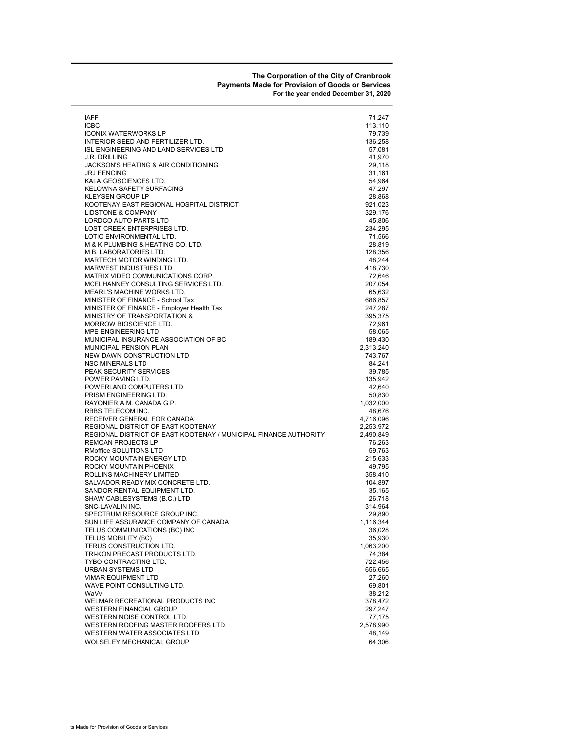#### The Corporation of the City of Cranbrook Payments Made for Provision of Goods or Services For the year ended December 31, 2020

| IAFF                                                             | 71,247    |
|------------------------------------------------------------------|-----------|
| ICBC                                                             | 113,110   |
| <b>ICONIX WATERWORKS LP</b>                                      | 79,739    |
| INTERIOR SEED AND FERTILIZER LTD.                                | 136,258   |
| ISL ENGINEERING AND LAND SERVICES LTD                            | 57,081    |
| J.R. DRILLING                                                    | 41,970    |
| JACKSON'S HEATING & AIR CONDITIONING                             | 29,118    |
| JRJ FENCING                                                      | 31,161    |
| KALA GEOSCIENCES LTD.                                            | 54,964    |
| KELOWNA SAFETY SURFACING                                         | 47,297    |
| KLEYSEN GROUP LP                                                 | 28,868    |
| KOOTENAY EAST REGIONAL HOSPITAL DISTRICT                         | 921,023   |
| <b>LIDSTONE &amp; COMPANY</b>                                    | 329,176   |
| LORDCO AUTO PARTS LTD                                            |           |
| LOST CREEK ENTERPRISES LTD.                                      | 45,806    |
|                                                                  | 234,295   |
| LOTIC ENVIRONMENTAL LTD.                                         | 71,566    |
| M & K PLUMBING & HEATING CO. LTD.                                | 28,819    |
| M.B. LABORATORIES LTD.                                           | 128,356   |
| MARTECH MOTOR WINDING LTD.                                       | 48,244    |
| <b>MARWEST INDUSTRIES LTD</b>                                    | 418,730   |
| MATRIX VIDEO COMMUNICATIONS CORP.                                | 72,646    |
| MCELHANNEY CONSULTING SERVICES LTD.                              | 207,054   |
| MEARL'S MACHINE WORKS LTD.                                       | 65,632    |
| MINISTER OF FINANCE - School Tax                                 | 686,857   |
| MINISTER OF FINANCE - Employer Health Tax                        | 247,287   |
| MINISTRY OF TRANSPORTATION &                                     | 395,375   |
| MORROW BIOSCIENCE LTD.                                           | 72,961    |
| MPE ENGINEERING LTD                                              | 58,065    |
| MUNICIPAL INSURANCE ASSOCIATION OF BC                            | 189,430   |
| MUNICIPAL PENSION PLAN                                           | 2,313,240 |
| <b>NEW DAWN CONSTRUCTION LTD</b>                                 | 743,767   |
| <b>NSC MINERALS LTD</b>                                          | 84,241    |
| PEAK SECURITY SERVICES                                           | 39,785    |
| POWER PAVING LTD.                                                | 135,942   |
| POWERLAND COMPUTERS LTD                                          | 42,640    |
| PRISM ENGINEERING LTD.                                           | 50,830    |
| RAYONIER A.M. CANADA G.P.                                        | 1,032,000 |
| RBBS TELECOM INC.                                                |           |
|                                                                  | 48,676    |
| RECEIVER GENERAL FOR CANADA                                      | 4,716,096 |
| REGIONAL DISTRICT OF EAST KOOTENAY                               | 2,253,972 |
| REGIONAL DISTRICT OF EAST KOOTENAY / MUNICIPAL FINANCE AUTHORITY | 2,490,849 |
| REMCAN PROJECTS LP                                               | 76,263    |
| RMoffice SOLUTIONS LTD                                           | 59,763    |
| ROCKY MOUNTAIN ENERGY LTD.                                       | 215,633   |
| ROCKY MOUNTAIN PHOENIX                                           | 49,795    |
| ROLLINS MACHINERY LIMITED                                        | 358,410   |
| SALVADOR READY MIX CONCRETE LTD.                                 | 104,897   |
| SANDOR RENTAL EQUIPMENT LTD.                                     | 35,165    |
| SHAW CABLESYSTEMS (B.C.) LTD                                     | 26,718    |
| SNC-LAVALIN INC.                                                 | 314,964   |
| SPECTRUM RESOURCE GROUP INC.                                     | 29,890    |
| SUN LIFE ASSURANCE COMPANY OF CANADA                             | 1,116,344 |
| TELUS COMMUNICATIONS (BC) INC                                    | 36,028    |
| TELUS MOBILITY (BC)                                              | 35,930    |
| TERUS CONSTRUCTION LTD.                                          | 1,063,200 |
| TRI-KON PRECAST PRODUCTS LTD.                                    | 74,384    |
| TYBO CONTRACTING LTD.                                            | 722,456   |
| URBAN SYSTEMS LTD                                                | 656,665   |
| <b>VIMAR EQUIPMENT LTD</b>                                       | 27,260    |
| WAVE POINT CONSULTING LTD.                                       | 69,801    |
| WaVv                                                             | 38,212    |
| WELMAR RECREATIONAL PRODUCTS INC                                 | 378,472   |
| <b>WESTERN FINANCIAL GROUP</b>                                   | 297,247   |
|                                                                  |           |
| WESTERN NOISE CONTROL LTD.                                       | 77,175    |
| WESTERN ROOFING MASTER ROOFERS LTD.                              | 2,578,990 |
| WESTERN WATER ASSOCIATES LTD                                     | 48,149    |
| WOLSELEY MECHANICAL GROUP                                        | 64,306    |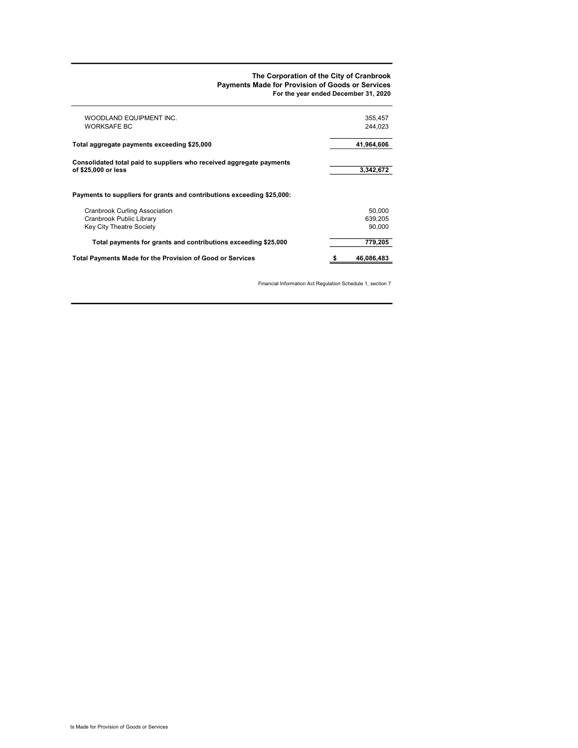#### The Corporation of the City of Cranbrook Payments Made for Provision of Goods or Services For the year ended December 31, 2020

| WOODLAND EQUIPMENT INC.<br><b>WORKSAFE BC</b>                          | 355,457<br>244.023 |
|------------------------------------------------------------------------|--------------------|
| Total aggregate payments exceeding \$25,000                            | 41,964,606         |
| Consolidated total paid to suppliers who received aggregate payments   |                    |
| of \$25,000 or less                                                    | 3,342,672          |
| Payments to suppliers for grants and contributions exceeding \$25,000: |                    |
| <b>Cranbrook Curling Association</b>                                   | 50.000             |
| Cranbrook Public Library                                               | 639.205            |
| Key City Theatre Society                                               | 90.000             |
| Total payments for grants and contributions exceeding \$25,000         | 779.205            |
| Total Payments Made for the Provision of Good or Services              | 46,086,483         |

Financial Information Act Regulation Schedule 1, section 7